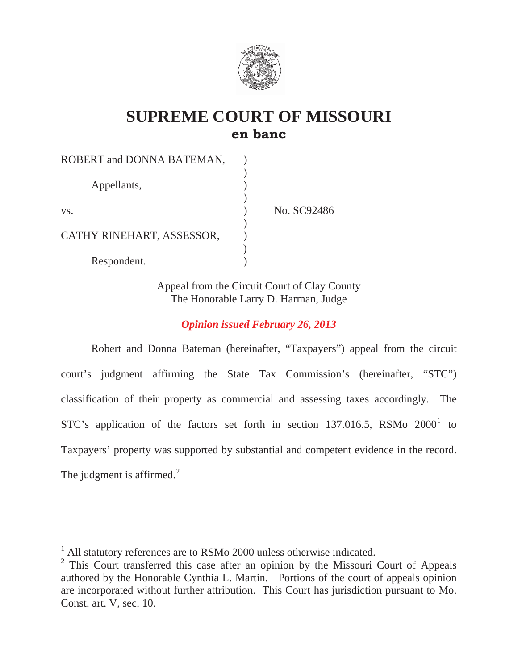

# **SUPREME COURT OF MISSOURI en banc**

| ROBERT and DONNA BATEMAN, |             |
|---------------------------|-------------|
|                           |             |
| Appellants,               |             |
|                           |             |
| VS.                       | No. SC92486 |
|                           |             |
| CATHY RINEHART, ASSESSOR, |             |
|                           |             |
| Respondent.               |             |

Appeal from the Circuit Court of Clay County The Honorable Larry D. Harman, Judge

# *Opinion issued February 26, 2013*

Robert and Donna Bateman (hereinafter, "Taxpayers") appeal from the circuit court's judgment affirming the State Tax Commission's (hereinafter, "STC") classification of their property as commercial and assessing taxes accordingly. The STC's application of the factors set forth in section 137.016.5, RSMo  $2000<sup>1</sup>$  to Taxpayers' property was supported by substantial and competent evidence in the record. The judgment is affirmed. $2$ 

<sup>&</sup>lt;sup>1</sup> All statutory references are to RSMo 2000 unless otherwise indicated.

<sup>&</sup>lt;sup>2</sup> This Court transferred this case after an opinion by the Missouri Court of Appeals authored by the Honorable Cynthia L. Martin. Portions of the court of appeals opinion are incorporated without further attribution. This Court has jurisdiction pursuant to Mo. Const. art. V, sec. 10.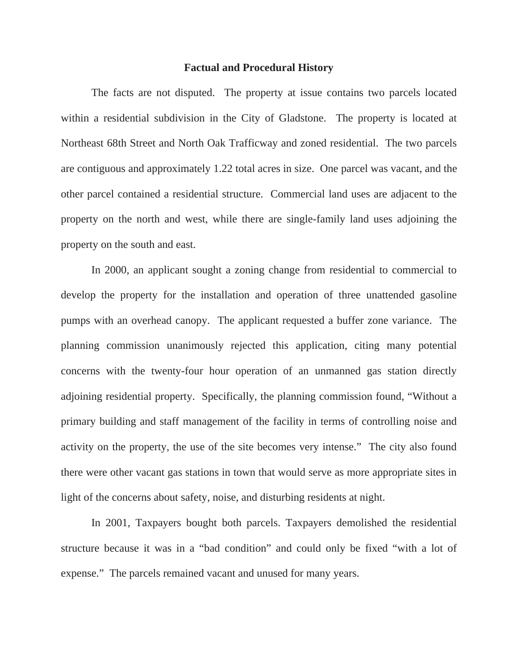#### **Factual and Procedural History**

 The facts are not disputed. The property at issue contains two parcels located within a residential subdivision in the City of Gladstone. The property is located at Northeast 68th Street and North Oak Trafficway and zoned residential. The two parcels are contiguous and approximately 1.22 total acres in size. One parcel was vacant, and the other parcel contained a residential structure. Commercial land uses are adjacent to the property on the north and west, while there are single-family land uses adjoining the property on the south and east.

 In 2000, an applicant sought a zoning change from residential to commercial to develop the property for the installation and operation of three unattended gasoline pumps with an overhead canopy. The applicant requested a buffer zone variance. The planning commission unanimously rejected this application, citing many potential concerns with the twenty-four hour operation of an unmanned gas station directly adjoining residential property. Specifically, the planning commission found, "Without a primary building and staff management of the facility in terms of controlling noise and activity on the property, the use of the site becomes very intense." The city also found there were other vacant gas stations in town that would serve as more appropriate sites in light of the concerns about safety, noise, and disturbing residents at night.

In 2001, Taxpayers bought both parcels. Taxpayers demolished the residential structure because it was in a "bad condition" and could only be fixed "with a lot of expense." The parcels remained vacant and unused for many years.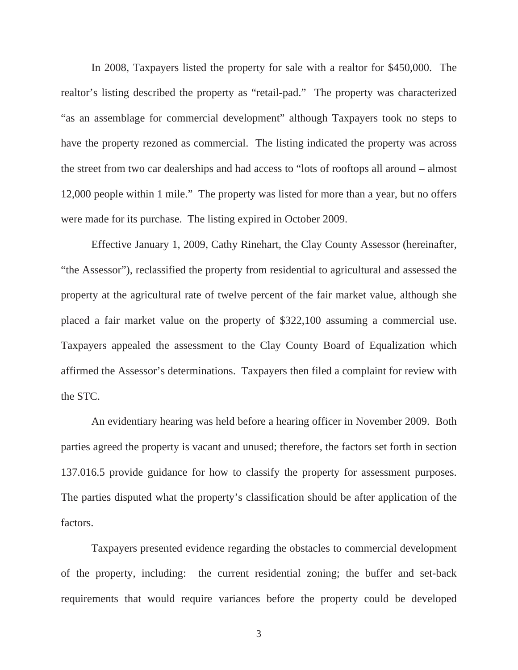In 2008, Taxpayers listed the property for sale with a realtor for \$450,000. The realtor's listing described the property as "retail-pad." The property was characterized "as an assemblage for commercial development" although Taxpayers took no steps to have the property rezoned as commercial. The listing indicated the property was across the street from two car dealerships and had access to "lots of rooftops all around – almost 12,000 people within 1 mile." The property was listed for more than a year, but no offers were made for its purchase. The listing expired in October 2009.

 Effective January 1, 2009, Cathy Rinehart, the Clay County Assessor (hereinafter, "the Assessor"), reclassified the property from residential to agricultural and assessed the property at the agricultural rate of twelve percent of the fair market value, although she placed a fair market value on the property of \$322,100 assuming a commercial use. Taxpayers appealed the assessment to the Clay County Board of Equalization which affirmed the Assessor's determinations. Taxpayers then filed a complaint for review with the STC.

An evidentiary hearing was held before a hearing officer in November 2009. Both parties agreed the property is vacant and unused; therefore, the factors set forth in section 137.016.5 provide guidance for how to classify the property for assessment purposes. The parties disputed what the property's classification should be after application of the factors.

Taxpayers presented evidence regarding the obstacles to commercial development of the property, including: the current residential zoning; the buffer and set-back requirements that would require variances before the property could be developed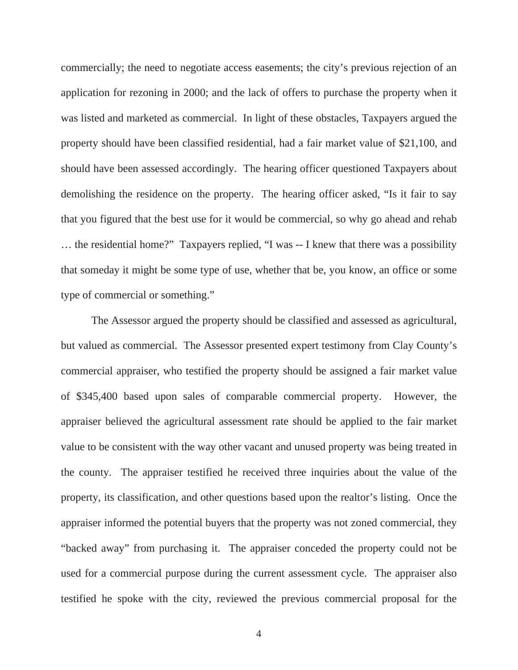commercially; the need to negotiate access easements; the city's previous rejection of an application for rezoning in 2000; and the lack of offers to purchase the property when it was listed and marketed as commercial. In light of these obstacles, Taxpayers argued the property should have been classified residential, had a fair market value of \$21,100, and should have been assessed accordingly. The hearing officer questioned Taxpayers about demolishing the residence on the property. The hearing officer asked, "Is it fair to say that you figured that the best use for it would be commercial, so why go ahead and rehab … the residential home?" Taxpayers replied, "I was -- I knew that there was a possibility that someday it might be some type of use, whether that be, you know, an office or some type of commercial or something."

The Assessor argued the property should be classified and assessed as agricultural, but valued as commercial. The Assessor presented expert testimony from Clay County's commercial appraiser, who testified the property should be assigned a fair market value of \$345,400 based upon sales of comparable commercial property. However, the appraiser believed the agricultural assessment rate should be applied to the fair market value to be consistent with the way other vacant and unused property was being treated in the county. The appraiser testified he received three inquiries about the value of the property, its classification, and other questions based upon the realtor's listing. Once the appraiser informed the potential buyers that the property was not zoned commercial, they "backed away" from purchasing it. The appraiser conceded the property could not be used for a commercial purpose during the current assessment cycle. The appraiser also testified he spoke with the city, reviewed the previous commercial proposal for the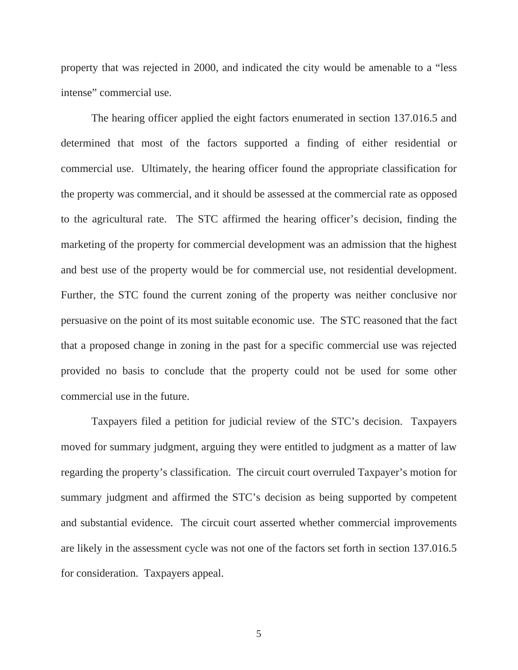property that was rejected in 2000, and indicated the city would be amenable to a "less intense" commercial use.

The hearing officer applied the eight factors enumerated in section 137.016.5 and determined that most of the factors supported a finding of either residential or commercial use. Ultimately, the hearing officer found the appropriate classification for the property was commercial, and it should be assessed at the commercial rate as opposed to the agricultural rate. The STC affirmed the hearing officer's decision, finding the marketing of the property for commercial development was an admission that the highest and best use of the property would be for commercial use, not residential development. Further, the STC found the current zoning of the property was neither conclusive nor persuasive on the point of its most suitable economic use. The STC reasoned that the fact that a proposed change in zoning in the past for a specific commercial use was rejected provided no basis to conclude that the property could not be used for some other commercial use in the future.

Taxpayers filed a petition for judicial review of the STC's decision. Taxpayers moved for summary judgment, arguing they were entitled to judgment as a matter of law regarding the property's classification. The circuit court overruled Taxpayer's motion for summary judgment and affirmed the STC's decision as being supported by competent and substantial evidence. The circuit court asserted whether commercial improvements are likely in the assessment cycle was not one of the factors set forth in section 137.016.5 for consideration. Taxpayers appeal.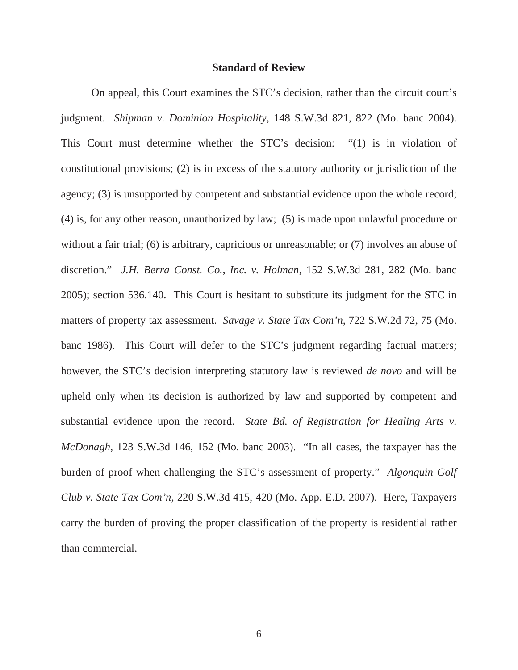### **Standard of Review**

On appeal, this Court examines the STC's decision, rather than the circuit court's judgment. *Shipman v. Dominion Hospitality*, 148 S.W.3d 821, 822 (Mo. banc 2004). This Court must determine whether the STC's decision: "(1) is in violation of constitutional provisions; (2) is in excess of the statutory authority or jurisdiction of the agency; (3) is unsupported by competent and substantial evidence upon the whole record; (4) is, for any other reason, unauthorized by law; (5) is made upon unlawful procedure or without a fair trial; (6) is arbitrary, capricious or unreasonable; or (7) involves an abuse of discretion." *J.H. Berra Const. Co., Inc. v. Holman*, 152 S.W.3d 281, 282 (Mo. banc 2005); section 536.140. This Court is hesitant to substitute its judgment for the STC in matters of property tax assessment. *Savage v. State Tax Com'n*, 722 S.W.2d 72, 75 (Mo. banc 1986). This Court will defer to the STC's judgment regarding factual matters; however, the STC's decision interpreting statutory law is reviewed *de novo* and will be upheld only when its decision is authorized by law and supported by competent and substantial evidence upon the record. *State Bd. of Registration for Healing Arts v. McDonagh*, 123 S.W.3d 146, 152 (Mo. banc 2003). "In all cases, the taxpayer has the burden of proof when challenging the STC's assessment of property." *Algonquin Golf Club v. State Tax Com'n*, 220 S.W.3d 415, 420 (Mo. App. E.D. 2007). Here, Taxpayers carry the burden of proving the proper classification of the property is residential rather than commercial.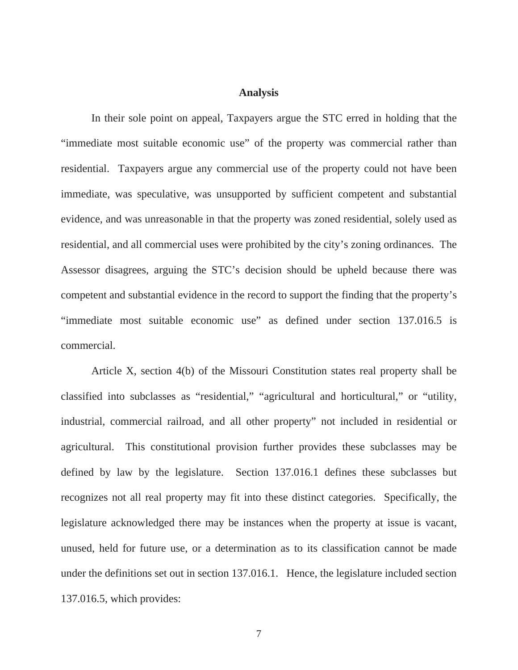## **Analysis**

 In their sole point on appeal, Taxpayers argue the STC erred in holding that the "immediate most suitable economic use" of the property was commercial rather than residential. Taxpayers argue any commercial use of the property could not have been immediate, was speculative, was unsupported by sufficient competent and substantial evidence, and was unreasonable in that the property was zoned residential, solely used as residential, and all commercial uses were prohibited by the city's zoning ordinances. The Assessor disagrees, arguing the STC's decision should be upheld because there was competent and substantial evidence in the record to support the finding that the property's "immediate most suitable economic use" as defined under section 137.016.5 is commercial.

 Article X, section 4(b) of the Missouri Constitution states real property shall be classified into subclasses as "residential," "agricultural and horticultural," or "utility, industrial, commercial railroad, and all other property" not included in residential or agricultural. This constitutional provision further provides these subclasses may be defined by law by the legislature. Section 137.016.1 defines these subclasses but recognizes not all real property may fit into these distinct categories. Specifically, the legislature acknowledged there may be instances when the property at issue is vacant, unused, held for future use, or a determination as to its classification cannot be made under the definitions set out in section 137.016.1. Hence, the legislature included section 137.016.5, which provides: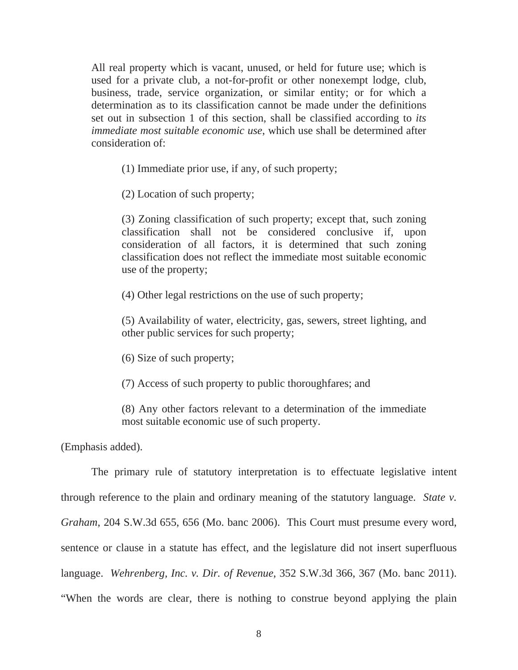All real property which is vacant, unused, or held for future use; which is used for a private club, a not-for-profit or other nonexempt lodge, club, business, trade, service organization, or similar entity; or for which a determination as to its classification cannot be made under the definitions set out in subsection 1 of this section, shall be classified according to *its immediate most suitable economic use*, which use shall be determined after consideration of:

(1) Immediate prior use, if any, of such property;

(2) Location of such property;

(3) Zoning classification of such property; except that, such zoning classification shall not be considered conclusive if, upon consideration of all factors, it is determined that such zoning classification does not reflect the immediate most suitable economic use of the property;

(4) Other legal restrictions on the use of such property;

(5) Availability of water, electricity, gas, sewers, street lighting, and other public services for such property;

(6) Size of such property;

(7) Access of such property to public thoroughfares; and

(8) Any other factors relevant to a determination of the immediate most suitable economic use of such property.

(Emphasis added).

The primary rule of statutory interpretation is to effectuate legislative intent through reference to the plain and ordinary meaning of the statutory language. *State v. Graham*, 204 S.W.3d 655, 656 (Mo. banc 2006). This Court must presume every word, sentence or clause in a statute has effect, and the legislature did not insert superfluous language. *Wehrenberg, Inc. v. Dir. of Revenue*, 352 S.W.3d 366, 367 (Mo. banc 2011). "When the words are clear, there is nothing to construe beyond applying the plain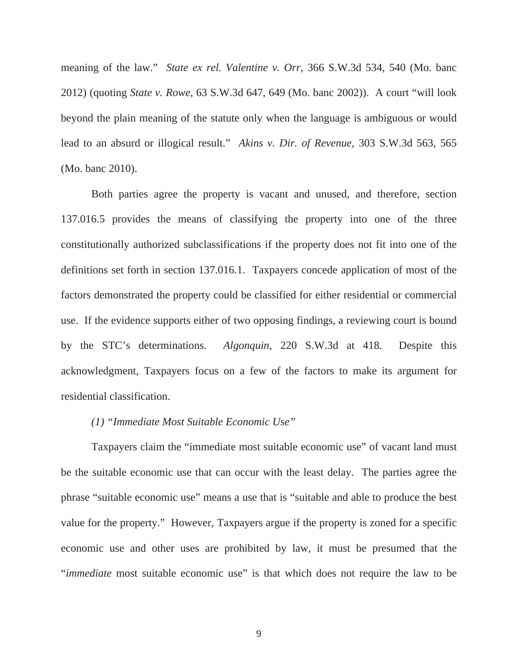meaning of the law." *State ex rel. Valentine v. Orr*, 366 S.W.3d 534, 540 (Mo. banc 2012) (quoting *State v. Rowe*, 63 S.W.3d 647, 649 (Mo. banc 2002)). A court "will look beyond the plain meaning of the statute only when the language is ambiguous or would lead to an absurd or illogical result." *Akins v. Dir. of Revenue*, 303 S.W.3d 563, 565 (Mo. banc 2010).

Both parties agree the property is vacant and unused, and therefore, section 137.016.5 provides the means of classifying the property into one of the three constitutionally authorized subclassifications if the property does not fit into one of the definitions set forth in section 137.016.1. Taxpayers concede application of most of the factors demonstrated the property could be classified for either residential or commercial use. If the evidence supports either of two opposing findings, a reviewing court is bound by the STC's determinations. *Algonquin*, 220 S.W.3d at 418. Despite this acknowledgment, Taxpayers focus on a few of the factors to make its argument for residential classification.

## *(1) "Immediate Most Suitable Economic Use"*

Taxpayers claim the "immediate most suitable economic use" of vacant land must be the suitable economic use that can occur with the least delay. The parties agree the phrase "suitable economic use" means a use that is "suitable and able to produce the best value for the property." However, Taxpayers argue if the property is zoned for a specific economic use and other uses are prohibited by law, it must be presumed that the "*immediate* most suitable economic use" is that which does not require the law to be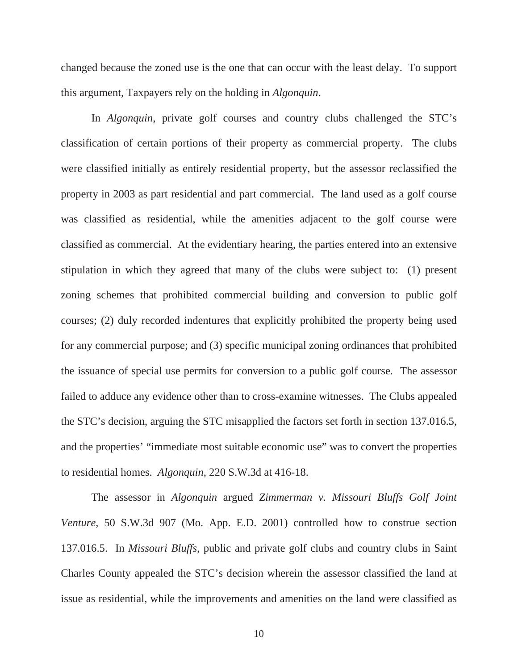changed because the zoned use is the one that can occur with the least delay. To support this argument, Taxpayers rely on the holding in *Algonquin*.

 In *Algonquin*, private golf courses and country clubs challenged the STC's classification of certain portions of their property as commercial property. The clubs were classified initially as entirely residential property, but the assessor reclassified the property in 2003 as part residential and part commercial. The land used as a golf course was classified as residential, while the amenities adjacent to the golf course were classified as commercial. At the evidentiary hearing, the parties entered into an extensive stipulation in which they agreed that many of the clubs were subject to: (1) present zoning schemes that prohibited commercial building and conversion to public golf courses; (2) duly recorded indentures that explicitly prohibited the property being used for any commercial purpose; and (3) specific municipal zoning ordinances that prohibited the issuance of special use permits for conversion to a public golf course. The assessor failed to adduce any evidence other than to cross-examine witnesses. The Clubs appealed the STC's decision, arguing the STC misapplied the factors set forth in section 137.016.5, and the properties' "immediate most suitable economic use" was to convert the properties to residential homes. *Algonquin*, 220 S.W.3d at 416-18.

The assessor in *Algonquin* argued *Zimmerman v. Missouri Bluffs Golf Joint Venture*, 50 S.W.3d 907 (Mo. App. E.D. 2001) controlled how to construe section 137.016.5. In *Missouri Bluffs*, public and private golf clubs and country clubs in Saint Charles County appealed the STC's decision wherein the assessor classified the land at issue as residential, while the improvements and amenities on the land were classified as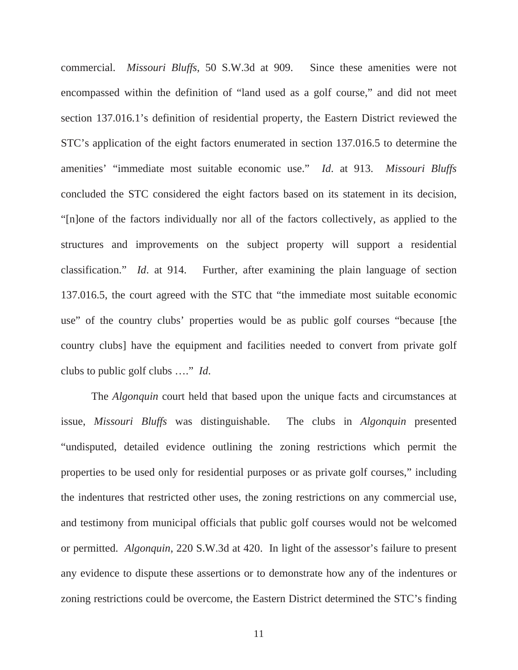commercial. *Missouri Bluffs*, 50 S.W.3d at 909. Since these amenities were not encompassed within the definition of "land used as a golf course," and did not meet section 137.016.1's definition of residential property, the Eastern District reviewed the STC's application of the eight factors enumerated in section 137.016.5 to determine the amenities' "immediate most suitable economic use." *Id*. at 913. *Missouri Bluffs* concluded the STC considered the eight factors based on its statement in its decision, "[n]one of the factors individually nor all of the factors collectively, as applied to the structures and improvements on the subject property will support a residential classification." *Id*. at 914. Further, after examining the plain language of section 137.016.5, the court agreed with the STC that "the immediate most suitable economic use" of the country clubs' properties would be as public golf courses "because [the country clubs] have the equipment and facilities needed to convert from private golf clubs to public golf clubs …." *Id*.

 The *Algonquin* court held that based upon the unique facts and circumstances at issue, *Missouri Bluffs* was distinguishable. The clubs in *Algonquin* presented "undisputed, detailed evidence outlining the zoning restrictions which permit the properties to be used only for residential purposes or as private golf courses," including the indentures that restricted other uses, the zoning restrictions on any commercial use, and testimony from municipal officials that public golf courses would not be welcomed or permitted. *Algonquin*, 220 S.W.3d at 420. In light of the assessor's failure to present any evidence to dispute these assertions or to demonstrate how any of the indentures or zoning restrictions could be overcome, the Eastern District determined the STC's finding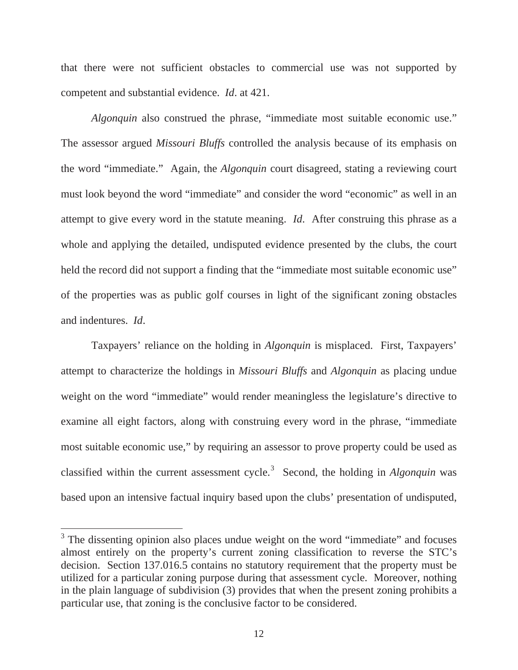that there were not sufficient obstacles to commercial use was not supported by competent and substantial evidence. *Id*. at 421.

*Algonquin* also construed the phrase, "immediate most suitable economic use." The assessor argued *Missouri Bluffs* controlled the analysis because of its emphasis on the word "immediate." Again, the *Algonquin* court disagreed, stating a reviewing court must look beyond the word "immediate" and consider the word "economic" as well in an attempt to give every word in the statute meaning. *Id*. After construing this phrase as a whole and applying the detailed, undisputed evidence presented by the clubs, the court held the record did not support a finding that the "immediate most suitable economic use" of the properties was as public golf courses in light of the significant zoning obstacles and indentures. *Id*.

 Taxpayers' reliance on the holding in *Algonquin* is misplaced. First, Taxpayers' attempt to characterize the holdings in *Missouri Bluffs* and *Algonquin* as placing undue weight on the word "immediate" would render meaningless the legislature's directive to examine all eight factors, along with construing every word in the phrase, "immediate most suitable economic use," by requiring an assessor to prove property could be used as classified within the current assessment cycle.<sup>3</sup> Second, the holding in *Algonquin* was based upon an intensive factual inquiry based upon the clubs' presentation of undisputed,

 $3$  The dissenting opinion also places undue weight on the word "immediate" and focuses almost entirely on the property's current zoning classification to reverse the STC's decision. Section 137.016.5 contains no statutory requirement that the property must be utilized for a particular zoning purpose during that assessment cycle. Moreover, nothing in the plain language of subdivision (3) provides that when the present zoning prohibits a particular use, that zoning is the conclusive factor to be considered.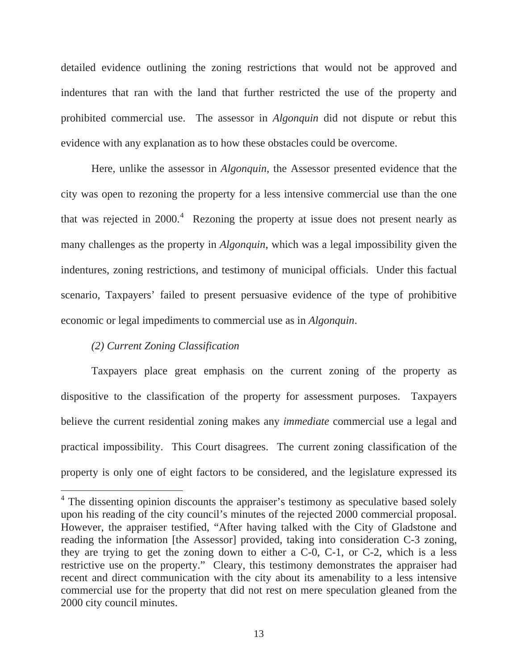detailed evidence outlining the zoning restrictions that would not be approved and indentures that ran with the land that further restricted the use of the property and prohibited commercial use. The assessor in *Algonquin* did not dispute or rebut this evidence with any explanation as to how these obstacles could be overcome.

Here, unlike the assessor in *Algonquin*, the Assessor presented evidence that the city was open to rezoning the property for a less intensive commercial use than the one that was rejected in  $2000$ <sup>4</sup>. Rezoning the property at issue does not present nearly as many challenges as the property in *Algonquin*, which was a legal impossibility given the indentures, zoning restrictions, and testimony of municipal officials. Under this factual scenario, Taxpayers' failed to present persuasive evidence of the type of prohibitive economic or legal impediments to commercial use as in *Algonquin*.

## *(2) Current Zoning Classification*

Taxpayers place great emphasis on the current zoning of the property as dispositive to the classification of the property for assessment purposes. Taxpayers believe the current residential zoning makes any *immediate* commercial use a legal and practical impossibility. This Court disagrees. The current zoning classification of the property is only one of eight factors to be considered, and the legislature expressed its

<sup>&</sup>lt;sup>4</sup> The dissenting opinion discounts the appraiser's testimony as speculative based solely upon his reading of the city council's minutes of the rejected 2000 commercial proposal. However, the appraiser testified, "After having talked with the City of Gladstone and reading the information [the Assessor] provided, taking into consideration C-3 zoning, they are trying to get the zoning down to either a C-0, C-1, or C-2, which is a less restrictive use on the property." Cleary, this testimony demonstrates the appraiser had recent and direct communication with the city about its amenability to a less intensive commercial use for the property that did not rest on mere speculation gleaned from the 2000 city council minutes.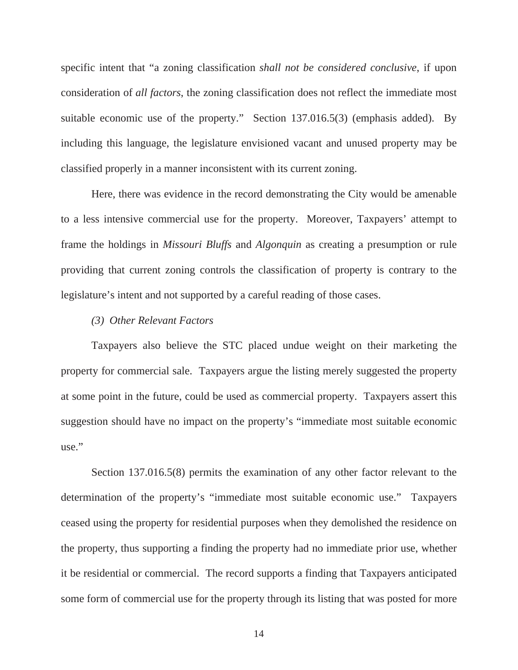specific intent that "a zoning classification *shall not be considered conclusive*, if upon consideration of *all factors*, the zoning classification does not reflect the immediate most suitable economic use of the property." Section 137.016.5(3) (emphasis added). By including this language, the legislature envisioned vacant and unused property may be classified properly in a manner inconsistent with its current zoning.

Here, there was evidence in the record demonstrating the City would be amenable to a less intensive commercial use for the property. Moreover, Taxpayers' attempt to frame the holdings in *Missouri Bluffs* and *Algonquin* as creating a presumption or rule providing that current zoning controls the classification of property is contrary to the legislature's intent and not supported by a careful reading of those cases.

## *(3) Other Relevant Factors*

Taxpayers also believe the STC placed undue weight on their marketing the property for commercial sale. Taxpayers argue the listing merely suggested the property at some point in the future, could be used as commercial property. Taxpayers assert this suggestion should have no impact on the property's "immediate most suitable economic use."

Section 137.016.5(8) permits the examination of any other factor relevant to the determination of the property's "immediate most suitable economic use." Taxpayers ceased using the property for residential purposes when they demolished the residence on the property, thus supporting a finding the property had no immediate prior use, whether it be residential or commercial. The record supports a finding that Taxpayers anticipated some form of commercial use for the property through its listing that was posted for more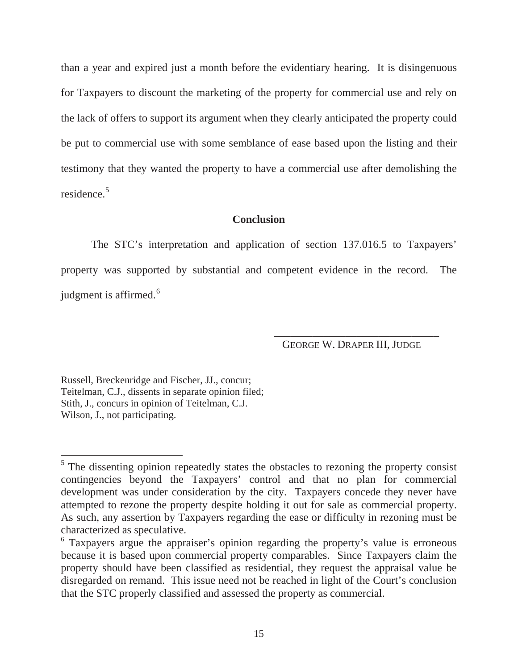than a year and expired just a month before the evidentiary hearing. It is disingenuous for Taxpayers to discount the marketing of the property for commercial use and rely on the lack of offers to support its argument when they clearly anticipated the property could be put to commercial use with some semblance of ease based upon the listing and their testimony that they wanted the property to have a commercial use after demolishing the residence.<sup>5</sup>

## **Conclusion**

The STC's interpretation and application of section 137.016.5 to Taxpayers' property was supported by substantial and competent evidence in the record. The judgment is affirmed.<sup>6</sup>

> \_\_\_\_\_\_\_\_\_\_\_\_\_\_\_\_\_\_\_\_\_\_\_\_\_\_\_\_\_\_ GEORGE W. DRAPER III, JUDGE

Russell, Breckenridge and Fischer, JJ., concur; Teitelman, C.J., dissents in separate opinion filed; Stith, J., concurs in opinion of Teitelman, C.J. Wilson, J., not participating.

<sup>&</sup>lt;sup>5</sup> The dissenting opinion repeatedly states the obstacles to rezoning the property consist contingencies beyond the Taxpayers' control and that no plan for commercial development was under consideration by the city. Taxpayers concede they never have attempted to rezone the property despite holding it out for sale as commercial property. As such, any assertion by Taxpayers regarding the ease or difficulty in rezoning must be characterized as speculative.

<sup>6</sup> Taxpayers argue the appraiser's opinion regarding the property's value is erroneous because it is based upon commercial property comparables. Since Taxpayers claim the property should have been classified as residential, they request the appraisal value be disregarded on remand. This issue need not be reached in light of the Court's conclusion that the STC properly classified and assessed the property as commercial.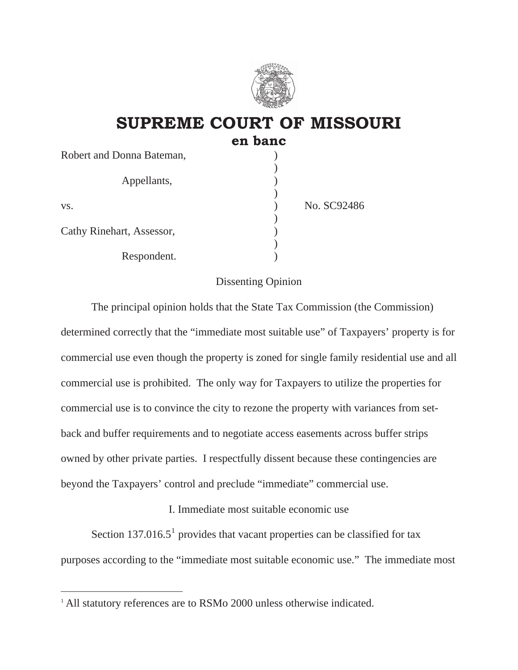

# **SUPREME COURT OF MISSOURI en banc**

| Robert and Donna Bateman, |             |
|---------------------------|-------------|
| Appellants,               |             |
| VS.                       | No. SC92486 |
| Cathy Rinehart, Assessor, |             |
| Respondent.               |             |

## Dissenting Opinion

 The principal opinion holds that the State Tax Commission (the Commission) determined correctly that the "immediate most suitable use" of Taxpayers' property is for commercial use even though the property is zoned for single family residential use and all commercial use is prohibited. The only way for Taxpayers to utilize the properties for commercial use is to convince the city to rezone the property with variances from setback and buffer requirements and to negotiate access easements across buffer strips owned by other private parties. I respectfully dissent because these contingencies are beyond the Taxpayers' control and preclude "immediate" commercial use.

## I. Immediate most suitable economic use

Section 137.016.5<sup>1</sup> provides that vacant properties can be classified for tax purposes according to the "immediate most suitable economic use." The immediate most

<sup>&</sup>lt;sup>1</sup> All statutory references are to RSMo 2000 unless otherwise indicated.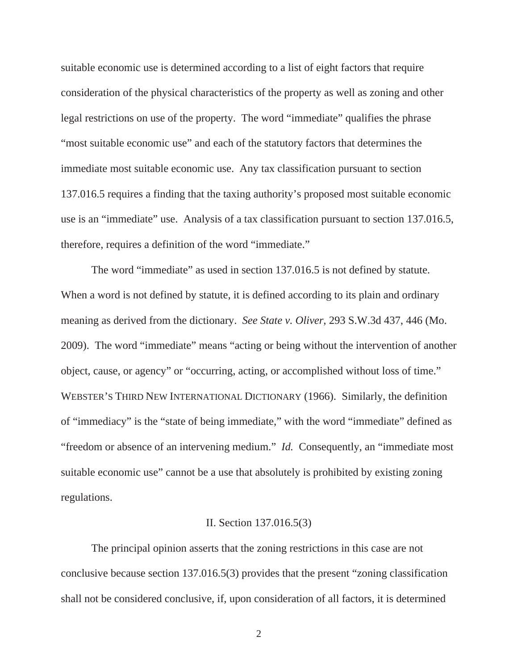suitable economic use is determined according to a list of eight factors that require consideration of the physical characteristics of the property as well as zoning and other legal restrictions on use of the property. The word "immediate" qualifies the phrase "most suitable economic use" and each of the statutory factors that determines the immediate most suitable economic use. Any tax classification pursuant to section 137.016.5 requires a finding that the taxing authority's proposed most suitable economic use is an "immediate" use. Analysis of a tax classification pursuant to section 137.016.5, therefore, requires a definition of the word "immediate."

The word "immediate" as used in section 137.016.5 is not defined by statute. When a word is not defined by statute, it is defined according to its plain and ordinary meaning as derived from the dictionary. *See State v. Oliver*, 293 S.W.3d 437, 446 (Mo. 2009). The word "immediate" means "acting or being without the intervention of another object, cause, or agency" or "occurring, acting, or accomplished without loss of time." WEBSTER'S THIRD NEW INTERNATIONAL DICTIONARY (1966). Similarly, the definition of "immediacy" is the "state of being immediate," with the word "immediate" defined as "freedom or absence of an intervening medium." *Id.* Consequently, an "immediate most" suitable economic use" cannot be a use that absolutely is prohibited by existing zoning regulations.

### II. Section 137.016.5(3)

The principal opinion asserts that the zoning restrictions in this case are not conclusive because section 137.016.5(3) provides that the present "zoning classification shall not be considered conclusive, if, upon consideration of all factors, it is determined

2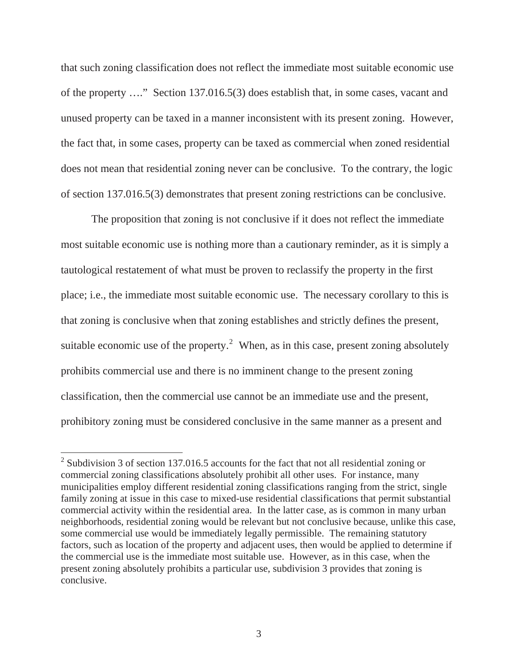that such zoning classification does not reflect the immediate most suitable economic use of the property …." Section 137.016.5(3) does establish that, in some cases, vacant and unused property can be taxed in a manner inconsistent with its present zoning. However, the fact that, in some cases, property can be taxed as commercial when zoned residential does not mean that residential zoning never can be conclusive. To the contrary, the logic of section 137.016.5(3) demonstrates that present zoning restrictions can be conclusive.

 The proposition that zoning is not conclusive if it does not reflect the immediate most suitable economic use is nothing more than a cautionary reminder, as it is simply a tautological restatement of what must be proven to reclassify the property in the first place; i.e., the immediate most suitable economic use. The necessary corollary to this is that zoning is conclusive when that zoning establishes and strictly defines the present, suitable economic use of the property.<sup>2</sup> When, as in this case, present zoning absolutely prohibits commercial use and there is no imminent change to the present zoning classification, then the commercial use cannot be an immediate use and the present, prohibitory zoning must be considered conclusive in the same manner as a present and

<sup>&</sup>lt;sup>2</sup> Subdivision 3 of section 137.016.5 accounts for the fact that not all residential zoning or commercial zoning classifications absolutely prohibit all other uses. For instance, many municipalities employ different residential zoning classifications ranging from the strict, single family zoning at issue in this case to mixed-use residential classifications that permit substantial commercial activity within the residential area. In the latter case, as is common in many urban neighborhoods, residential zoning would be relevant but not conclusive because, unlike this case, some commercial use would be immediately legally permissible. The remaining statutory factors, such as location of the property and adjacent uses, then would be applied to determine if the commercial use is the immediate most suitable use. However, as in this case, when the present zoning absolutely prohibits a particular use, subdivision 3 provides that zoning is conclusive.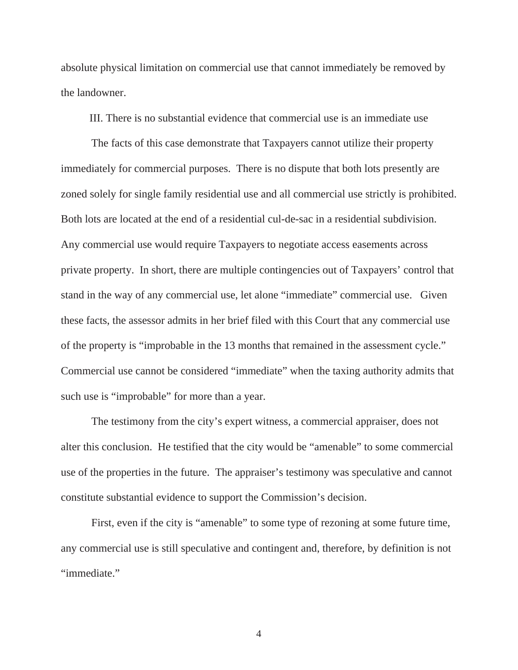absolute physical limitation on commercial use that cannot immediately be removed by the landowner.

III. There is no substantial evidence that commercial use is an immediate use

The facts of this case demonstrate that Taxpayers cannot utilize their property immediately for commercial purposes. There is no dispute that both lots presently are zoned solely for single family residential use and all commercial use strictly is prohibited. Both lots are located at the end of a residential cul-de-sac in a residential subdivision. Any commercial use would require Taxpayers to negotiate access easements across private property. In short, there are multiple contingencies out of Taxpayers' control that stand in the way of any commercial use, let alone "immediate" commercial use. Given these facts, the assessor admits in her brief filed with this Court that any commercial use of the property is "improbable in the 13 months that remained in the assessment cycle." Commercial use cannot be considered "immediate" when the taxing authority admits that such use is "improbable" for more than a year.

The testimony from the city's expert witness, a commercial appraiser, does not alter this conclusion. He testified that the city would be "amenable" to some commercial use of the properties in the future. The appraiser's testimony was speculative and cannot constitute substantial evidence to support the Commission's decision.

First, even if the city is "amenable" to some type of rezoning at some future time, any commercial use is still speculative and contingent and, therefore, by definition is not "immediate."

4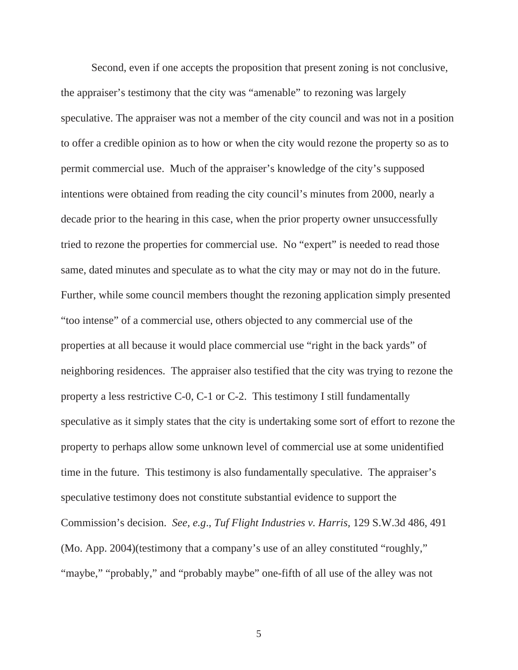Second, even if one accepts the proposition that present zoning is not conclusive, the appraiser's testimony that the city was "amenable" to rezoning was largely speculative. The appraiser was not a member of the city council and was not in a position to offer a credible opinion as to how or when the city would rezone the property so as to permit commercial use. Much of the appraiser's knowledge of the city's supposed intentions were obtained from reading the city council's minutes from 2000, nearly a decade prior to the hearing in this case, when the prior property owner unsuccessfully tried to rezone the properties for commercial use. No "expert" is needed to read those same, dated minutes and speculate as to what the city may or may not do in the future. Further, while some council members thought the rezoning application simply presented "too intense" of a commercial use, others objected to any commercial use of the properties at all because it would place commercial use "right in the back yards" of neighboring residences. The appraiser also testified that the city was trying to rezone the property a less restrictive C-0, C-1 or C-2. This testimony I still fundamentally speculative as it simply states that the city is undertaking some sort of effort to rezone the property to perhaps allow some unknown level of commercial use at some unidentified time in the future. This testimony is also fundamentally speculative. The appraiser's speculative testimony does not constitute substantial evidence to support the Commission's decision. *See, e.g*., *Tuf Flight Industries v. Harris,* 129 S.W.3d 486, 491 (Mo. App. 2004)(testimony that a company's use of an alley constituted "roughly," "maybe," "probably," and "probably maybe" one-fifth of all use of the alley was not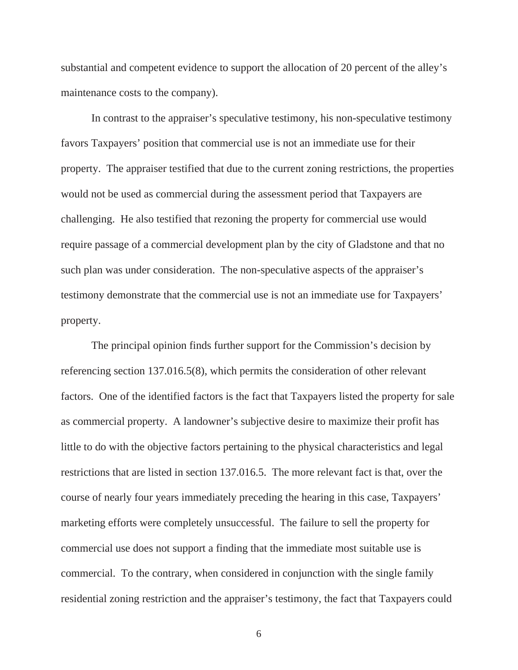substantial and competent evidence to support the allocation of 20 percent of the alley's maintenance costs to the company).

In contrast to the appraiser's speculative testimony, his non-speculative testimony favors Taxpayers' position that commercial use is not an immediate use for their property. The appraiser testified that due to the current zoning restrictions, the properties would not be used as commercial during the assessment period that Taxpayers are challenging. He also testified that rezoning the property for commercial use would require passage of a commercial development plan by the city of Gladstone and that no such plan was under consideration. The non-speculative aspects of the appraiser's testimony demonstrate that the commercial use is not an immediate use for Taxpayers' property.

The principal opinion finds further support for the Commission's decision by referencing section 137.016.5(8), which permits the consideration of other relevant factors. One of the identified factors is the fact that Taxpayers listed the property for sale as commercial property. A landowner's subjective desire to maximize their profit has little to do with the objective factors pertaining to the physical characteristics and legal restrictions that are listed in section 137.016.5. The more relevant fact is that, over the course of nearly four years immediately preceding the hearing in this case, Taxpayers' marketing efforts were completely unsuccessful. The failure to sell the property for commercial use does not support a finding that the immediate most suitable use is commercial. To the contrary, when considered in conjunction with the single family residential zoning restriction and the appraiser's testimony, the fact that Taxpayers could

6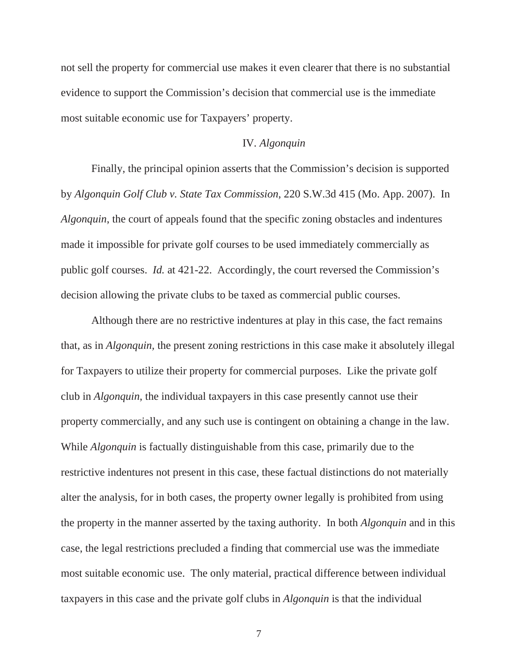not sell the property for commercial use makes it even clearer that there is no substantial evidence to support the Commission's decision that commercial use is the immediate most suitable economic use for Taxpayers' property.

## IV*. Algonquin*

 Finally, the principal opinion asserts that the Commission's decision is supported by *Algonquin Golf Club v. State Tax Commission*, 220 S.W.3d 415 (Mo. App. 2007). In *Algonquin*, the court of appeals found that the specific zoning obstacles and indentures made it impossible for private golf courses to be used immediately commercially as public golf courses. *Id.* at 421-22. Accordingly, the court reversed the Commission's decision allowing the private clubs to be taxed as commercial public courses.

 Although there are no restrictive indentures at play in this case, the fact remains that, as in *Algonquin,* the present zoning restrictions in this case make it absolutely illegal for Taxpayers to utilize their property for commercial purposes. Like the private golf club in *Algonquin*, the individual taxpayers in this case presently cannot use their property commercially, and any such use is contingent on obtaining a change in the law. While *Algonquin* is factually distinguishable from this case, primarily due to the restrictive indentures not present in this case, these factual distinctions do not materially alter the analysis, for in both cases, the property owner legally is prohibited from using the property in the manner asserted by the taxing authority. In both *Algonquin* and in this case, the legal restrictions precluded a finding that commercial use was the immediate most suitable economic use. The only material, practical difference between individual taxpayers in this case and the private golf clubs in *Algonquin* is that the individual

7